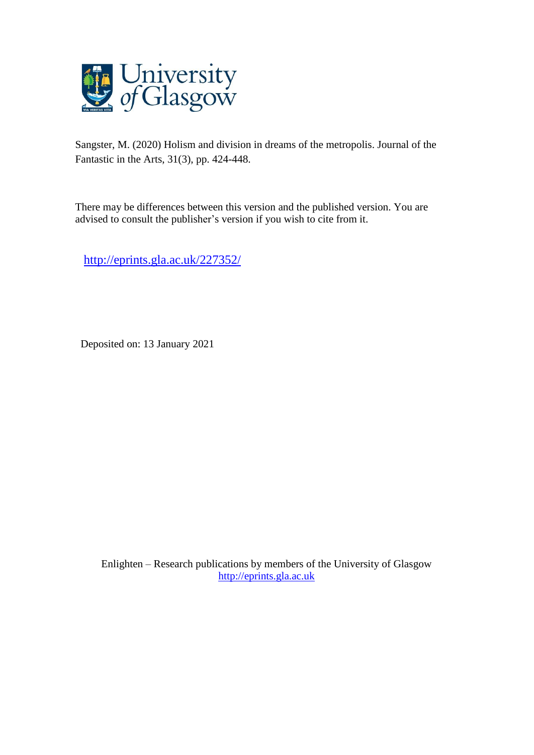

Sangster, M. (2020) Holism and division in dreams of the metropolis. Journal of the Fantastic in the Arts, 31(3), pp. 424-448.

There may be differences between this version and the published version. You are advised to consult the publisher's version if you wish to cite from it.

<http://eprints.gla.ac.uk/227352/>

Deposited on: 13 January 2021

Enlighten – Research publications by members of the University of Glasgow [http://eprints.gla.ac.uk](http://eprints.gla.ac.uk/)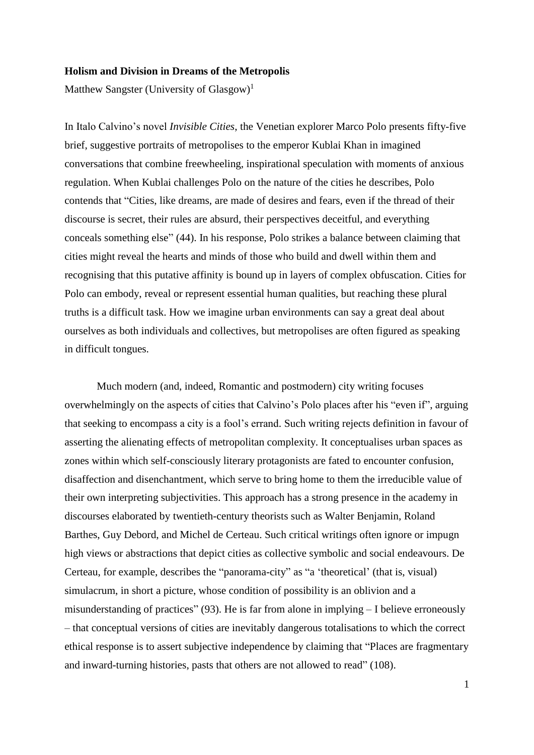#### **Holism and Division in Dreams of the Metropolis**

Matthew Sangster (University of Glasgow)<sup>1</sup>

In Italo Calvino's novel *Invisible Cities*, the Venetian explorer Marco Polo presents fifty-five brief, suggestive portraits of metropolises to the emperor Kublai Khan in imagined conversations that combine freewheeling, inspirational speculation with moments of anxious regulation. When Kublai challenges Polo on the nature of the cities he describes, Polo contends that "Cities, like dreams, are made of desires and fears, even if the thread of their discourse is secret, their rules are absurd, their perspectives deceitful, and everything conceals something else" (44). In his response, Polo strikes a balance between claiming that cities might reveal the hearts and minds of those who build and dwell within them and recognising that this putative affinity is bound up in layers of complex obfuscation. Cities for Polo can embody, reveal or represent essential human qualities, but reaching these plural truths is a difficult task. How we imagine urban environments can say a great deal about ourselves as both individuals and collectives, but metropolises are often figured as speaking in difficult tongues.

Much modern (and, indeed, Romantic and postmodern) city writing focuses overwhelmingly on the aspects of cities that Calvino's Polo places after his "even if", arguing that seeking to encompass a city is a fool's errand. Such writing rejects definition in favour of asserting the alienating effects of metropolitan complexity. It conceptualises urban spaces as zones within which self-consciously literary protagonists are fated to encounter confusion, disaffection and disenchantment, which serve to bring home to them the irreducible value of their own interpreting subjectivities. This approach has a strong presence in the academy in discourses elaborated by twentieth-century theorists such as Walter Benjamin, Roland Barthes, Guy Debord, and Michel de Certeau. Such critical writings often ignore or impugn high views or abstractions that depict cities as collective symbolic and social endeavours. De Certeau, for example, describes the "panorama-city" as "a 'theoretical' (that is, visual) simulacrum, in short a picture, whose condition of possibility is an oblivion and a misunderstanding of practices" (93). He is far from alone in implying – I believe erroneously – that conceptual versions of cities are inevitably dangerous totalisations to which the correct ethical response is to assert subjective independence by claiming that "Places are fragmentary and inward-turning histories, pasts that others are not allowed to read" (108).

1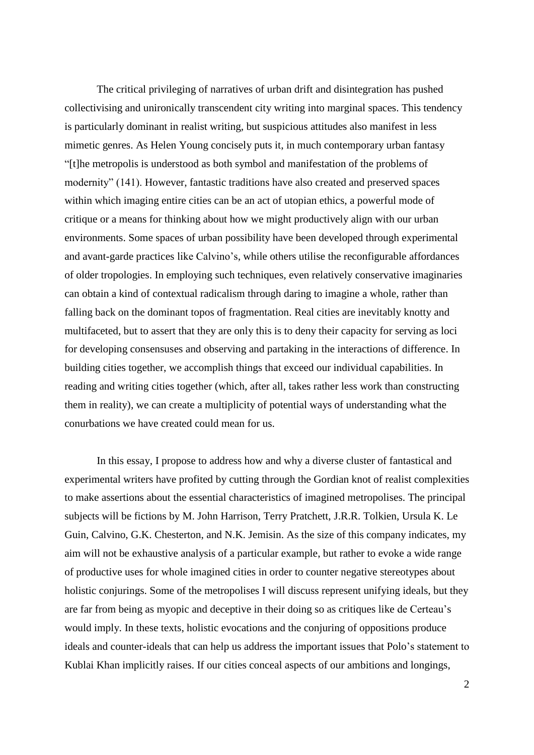The critical privileging of narratives of urban drift and disintegration has pushed collectivising and unironically transcendent city writing into marginal spaces. This tendency is particularly dominant in realist writing, but suspicious attitudes also manifest in less mimetic genres. As Helen Young concisely puts it, in much contemporary urban fantasy "[t]he metropolis is understood as both symbol and manifestation of the problems of modernity" (141). However, fantastic traditions have also created and preserved spaces within which imaging entire cities can be an act of utopian ethics, a powerful mode of critique or a means for thinking about how we might productively align with our urban environments. Some spaces of urban possibility have been developed through experimental and avant-garde practices like Calvino's, while others utilise the reconfigurable affordances of older tropologies. In employing such techniques, even relatively conservative imaginaries can obtain a kind of contextual radicalism through daring to imagine a whole, rather than falling back on the dominant topos of fragmentation. Real cities are inevitably knotty and multifaceted, but to assert that they are only this is to deny their capacity for serving as loci for developing consensuses and observing and partaking in the interactions of difference. In building cities together, we accomplish things that exceed our individual capabilities. In reading and writing cities together (which, after all, takes rather less work than constructing them in reality), we can create a multiplicity of potential ways of understanding what the conurbations we have created could mean for us.

In this essay, I propose to address how and why a diverse cluster of fantastical and experimental writers have profited by cutting through the Gordian knot of realist complexities to make assertions about the essential characteristics of imagined metropolises. The principal subjects will be fictions by M. John Harrison, Terry Pratchett, J.R.R. Tolkien, Ursula K. Le Guin, Calvino, G.K. Chesterton, and N.K. Jemisin. As the size of this company indicates, my aim will not be exhaustive analysis of a particular example, but rather to evoke a wide range of productive uses for whole imagined cities in order to counter negative stereotypes about holistic conjurings. Some of the metropolises I will discuss represent unifying ideals, but they are far from being as myopic and deceptive in their doing so as critiques like de Certeau's would imply. In these texts, holistic evocations and the conjuring of oppositions produce ideals and counter-ideals that can help us address the important issues that Polo's statement to Kublai Khan implicitly raises. If our cities conceal aspects of our ambitions and longings,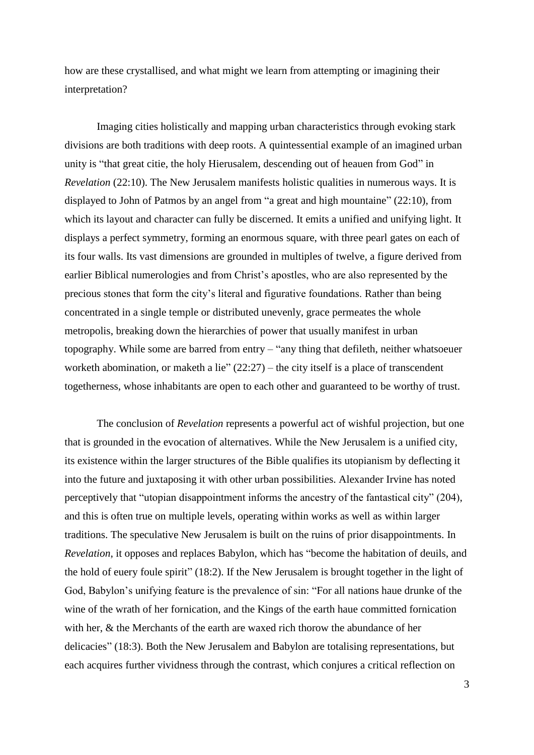how are these crystallised, and what might we learn from attempting or imagining their interpretation?

Imaging cities holistically and mapping urban characteristics through evoking stark divisions are both traditions with deep roots. A quintessential example of an imagined urban unity is "that great citie, the holy Hierusalem, descending out of heauen from God" in *Revelation* (22:10). The New Jerusalem manifests holistic qualities in numerous ways. It is displayed to John of Patmos by an angel from "a great and high mountaine" (22:10), from which its layout and character can fully be discerned. It emits a unified and unifying light. It displays a perfect symmetry, forming an enormous square, with three pearl gates on each of its four walls. Its vast dimensions are grounded in multiples of twelve, a figure derived from earlier Biblical numerologies and from Christ's apostles, who are also represented by the precious stones that form the city's literal and figurative foundations. Rather than being concentrated in a single temple or distributed unevenly, grace permeates the whole metropolis, breaking down the hierarchies of power that usually manifest in urban topography. While some are barred from entry – "any thing that defileth, neither whatsoeuer worketh abomination, or maketh a lie"  $(22:27)$  – the city itself is a place of transcendent togetherness, whose inhabitants are open to each other and guaranteed to be worthy of trust.

The conclusion of *Revelation* represents a powerful act of wishful projection, but one that is grounded in the evocation of alternatives. While the New Jerusalem is a unified city, its existence within the larger structures of the Bible qualifies its utopianism by deflecting it into the future and juxtaposing it with other urban possibilities. Alexander Irvine has noted perceptively that "utopian disappointment informs the ancestry of the fantastical city" (204), and this is often true on multiple levels, operating within works as well as within larger traditions. The speculative New Jerusalem is built on the ruins of prior disappointments. In *Revelation*, it opposes and replaces Babylon, which has "become the habitation of deuils, and the hold of euery foule spirit" (18:2). If the New Jerusalem is brought together in the light of God, Babylon's unifying feature is the prevalence of sin: "For all nations haue drunke of the wine of the wrath of her fornication, and the Kings of the earth haue committed fornication with her, & the Merchants of the earth are waxed rich thorow the abundance of her delicacies" (18:3). Both the New Jerusalem and Babylon are totalising representations, but each acquires further vividness through the contrast, which conjures a critical reflection on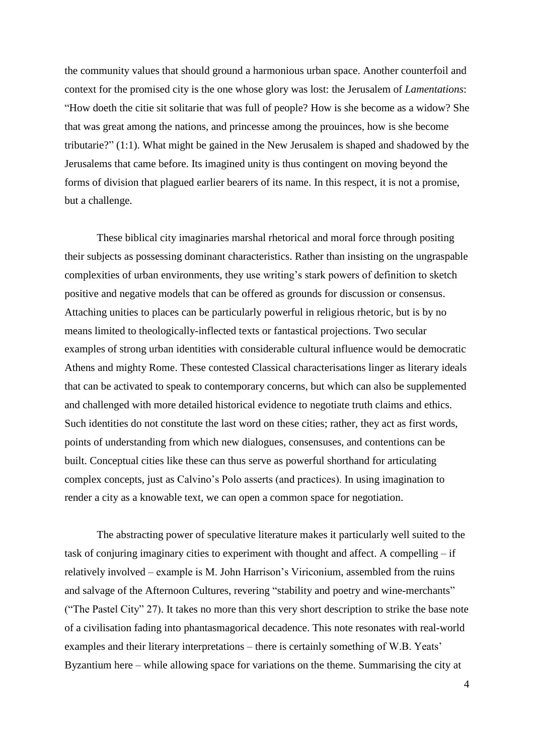the community values that should ground a harmonious urban space. Another counterfoil and context for the promised city is the one whose glory was lost: the Jerusalem of *Lamentations*: "How doeth the citie sit solitarie that was full of people? How is she become as a widow? She that was great among the nations, and princesse among the prouinces, how is she become tributarie?" (1:1). What might be gained in the New Jerusalem is shaped and shadowed by the Jerusalems that came before. Its imagined unity is thus contingent on moving beyond the forms of division that plagued earlier bearers of its name. In this respect, it is not a promise, but a challenge.

These biblical city imaginaries marshal rhetorical and moral force through positing their subjects as possessing dominant characteristics. Rather than insisting on the ungraspable complexities of urban environments, they use writing's stark powers of definition to sketch positive and negative models that can be offered as grounds for discussion or consensus. Attaching unities to places can be particularly powerful in religious rhetoric, but is by no means limited to theologically-inflected texts or fantastical projections. Two secular examples of strong urban identities with considerable cultural influence would be democratic Athens and mighty Rome. These contested Classical characterisations linger as literary ideals that can be activated to speak to contemporary concerns, but which can also be supplemented and challenged with more detailed historical evidence to negotiate truth claims and ethics. Such identities do not constitute the last word on these cities; rather, they act as first words, points of understanding from which new dialogues, consensuses, and contentions can be built. Conceptual cities like these can thus serve as powerful shorthand for articulating complex concepts, just as Calvino's Polo asserts (and practices). In using imagination to render a city as a knowable text, we can open a common space for negotiation.

The abstracting power of speculative literature makes it particularly well suited to the task of conjuring imaginary cities to experiment with thought and affect. A compelling – if relatively involved – example is M. John Harrison's Viriconium, assembled from the ruins and salvage of the Afternoon Cultures, revering "stability and poetry and wine-merchants" ("The Pastel City" 27). It takes no more than this very short description to strike the base note of a civilisation fading into phantasmagorical decadence. This note resonates with real-world examples and their literary interpretations – there is certainly something of W.B. Yeats' Byzantium here – while allowing space for variations on the theme. Summarising the city at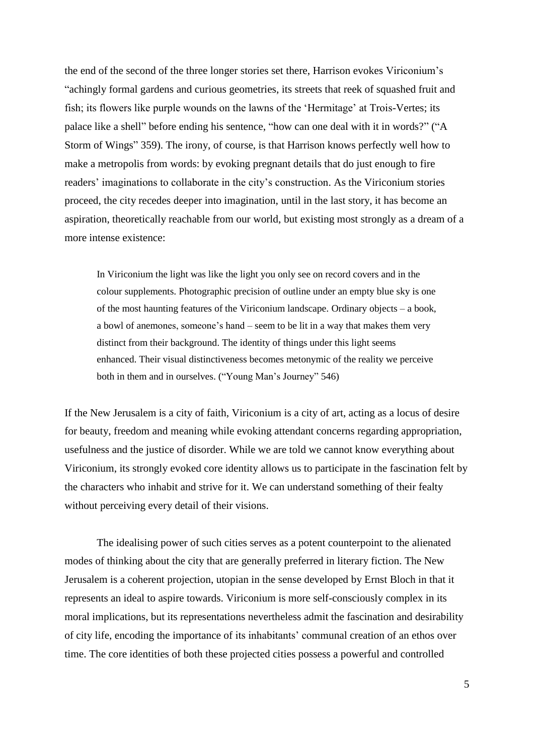the end of the second of the three longer stories set there, Harrison evokes Viriconium's "achingly formal gardens and curious geometries, its streets that reek of squashed fruit and fish; its flowers like purple wounds on the lawns of the 'Hermitage' at Trois-Vertes; its palace like a shell" before ending his sentence, "how can one deal with it in words?" ("A Storm of Wings" 359). The irony, of course, is that Harrison knows perfectly well how to make a metropolis from words: by evoking pregnant details that do just enough to fire readers' imaginations to collaborate in the city's construction. As the Viriconium stories proceed, the city recedes deeper into imagination, until in the last story, it has become an aspiration, theoretically reachable from our world, but existing most strongly as a dream of a more intense existence:

In Viriconium the light was like the light you only see on record covers and in the colour supplements. Photographic precision of outline under an empty blue sky is one of the most haunting features of the Viriconium landscape. Ordinary objects – a book, a bowl of anemones, someone's hand – seem to be lit in a way that makes them very distinct from their background. The identity of things under this light seems enhanced. Their visual distinctiveness becomes metonymic of the reality we perceive both in them and in ourselves. ("Young Man's Journey" 546)

If the New Jerusalem is a city of faith, Viriconium is a city of art, acting as a locus of desire for beauty, freedom and meaning while evoking attendant concerns regarding appropriation, usefulness and the justice of disorder. While we are told we cannot know everything about Viriconium, its strongly evoked core identity allows us to participate in the fascination felt by the characters who inhabit and strive for it. We can understand something of their fealty without perceiving every detail of their visions.

The idealising power of such cities serves as a potent counterpoint to the alienated modes of thinking about the city that are generally preferred in literary fiction. The New Jerusalem is a coherent projection, utopian in the sense developed by Ernst Bloch in that it represents an ideal to aspire towards. Viriconium is more self-consciously complex in its moral implications, but its representations nevertheless admit the fascination and desirability of city life, encoding the importance of its inhabitants' communal creation of an ethos over time. The core identities of both these projected cities possess a powerful and controlled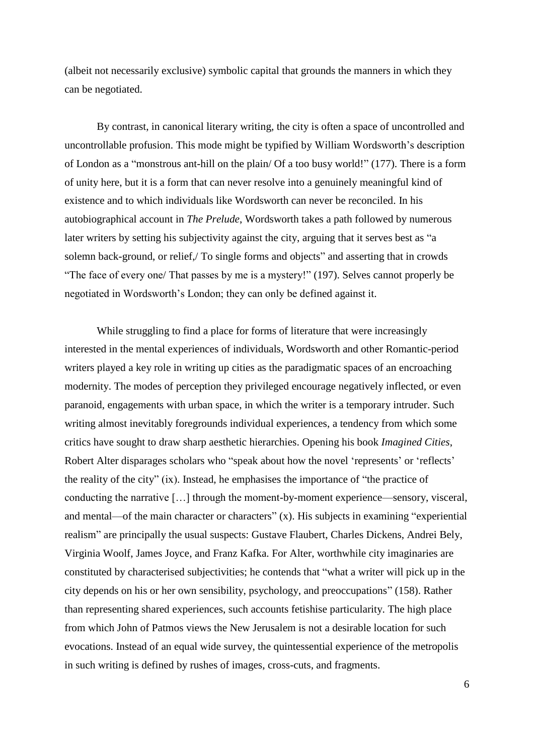(albeit not necessarily exclusive) symbolic capital that grounds the manners in which they can be negotiated.

By contrast, in canonical literary writing, the city is often a space of uncontrolled and uncontrollable profusion. This mode might be typified by William Wordsworth's description of London as a "monstrous ant-hill on the plain/ Of a too busy world!" (177). There is a form of unity here, but it is a form that can never resolve into a genuinely meaningful kind of existence and to which individuals like Wordsworth can never be reconciled. In his autobiographical account in *The Prelude*, Wordsworth takes a path followed by numerous later writers by setting his subjectivity against the city, arguing that it serves best as "a solemn back-ground, or relief,/ To single forms and objects" and asserting that in crowds "The face of every one/ That passes by me is a mystery!" (197). Selves cannot properly be negotiated in Wordsworth's London; they can only be defined against it.

While struggling to find a place for forms of literature that were increasingly interested in the mental experiences of individuals, Wordsworth and other Romantic-period writers played a key role in writing up cities as the paradigmatic spaces of an encroaching modernity. The modes of perception they privileged encourage negatively inflected, or even paranoid, engagements with urban space, in which the writer is a temporary intruder. Such writing almost inevitably foregrounds individual experiences, a tendency from which some critics have sought to draw sharp aesthetic hierarchies. Opening his book *Imagined Cities*, Robert Alter disparages scholars who "speak about how the novel 'represents' or 'reflects' the reality of the city" (ix). Instead, he emphasises the importance of "the practice of conducting the narrative […] through the moment-by-moment experience—sensory, visceral, and mental—of the main character or characters" (x). His subjects in examining "experiential realism" are principally the usual suspects: Gustave Flaubert, Charles Dickens, Andrei Bely, Virginia Woolf, James Joyce, and Franz Kafka. For Alter, worthwhile city imaginaries are constituted by characterised subjectivities; he contends that "what a writer will pick up in the city depends on his or her own sensibility, psychology, and preoccupations" (158). Rather than representing shared experiences, such accounts fetishise particularity. The high place from which John of Patmos views the New Jerusalem is not a desirable location for such evocations. Instead of an equal wide survey, the quintessential experience of the metropolis in such writing is defined by rushes of images, cross-cuts, and fragments.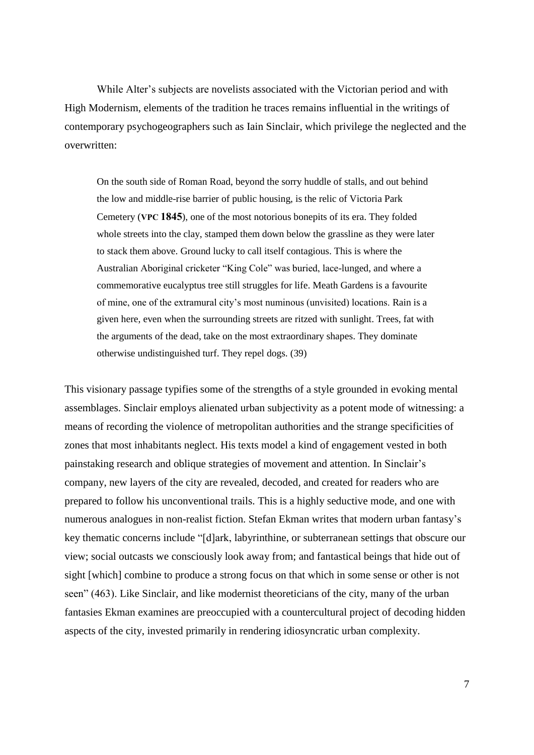While Alter's subjects are novelists associated with the Victorian period and with High Modernism, elements of the tradition he traces remains influential in the writings of contemporary psychogeographers such as Iain Sinclair, which privilege the neglected and the overwritten:

On the south side of Roman Road, beyond the sorry huddle of stalls, and out behind the low and middle-rise barrier of public housing, is the relic of Victoria Park Cemetery (**VPC 1845**), one of the most notorious bonepits of its era. They folded whole streets into the clay, stamped them down below the grassline as they were later to stack them above. Ground lucky to call itself contagious. This is where the Australian Aboriginal cricketer "King Cole" was buried, lace-lunged, and where a commemorative eucalyptus tree still struggles for life. Meath Gardens is a favourite of mine, one of the extramural city's most numinous (unvisited) locations. Rain is a given here, even when the surrounding streets are ritzed with sunlight. Trees, fat with the arguments of the dead, take on the most extraordinary shapes. They dominate otherwise undistinguished turf. They repel dogs. (39)

This visionary passage typifies some of the strengths of a style grounded in evoking mental assemblages. Sinclair employs alienated urban subjectivity as a potent mode of witnessing: a means of recording the violence of metropolitan authorities and the strange specificities of zones that most inhabitants neglect. His texts model a kind of engagement vested in both painstaking research and oblique strategies of movement and attention. In Sinclair's company, new layers of the city are revealed, decoded, and created for readers who are prepared to follow his unconventional trails. This is a highly seductive mode, and one with numerous analogues in non-realist fiction. Stefan Ekman writes that modern urban fantasy's key thematic concerns include "[d]ark, labyrinthine, or subterranean settings that obscure our view; social outcasts we consciously look away from; and fantastical beings that hide out of sight [which] combine to produce a strong focus on that which in some sense or other is not seen" (463). Like Sinclair, and like modernist theoreticians of the city, many of the urban fantasies Ekman examines are preoccupied with a countercultural project of decoding hidden aspects of the city, invested primarily in rendering idiosyncratic urban complexity.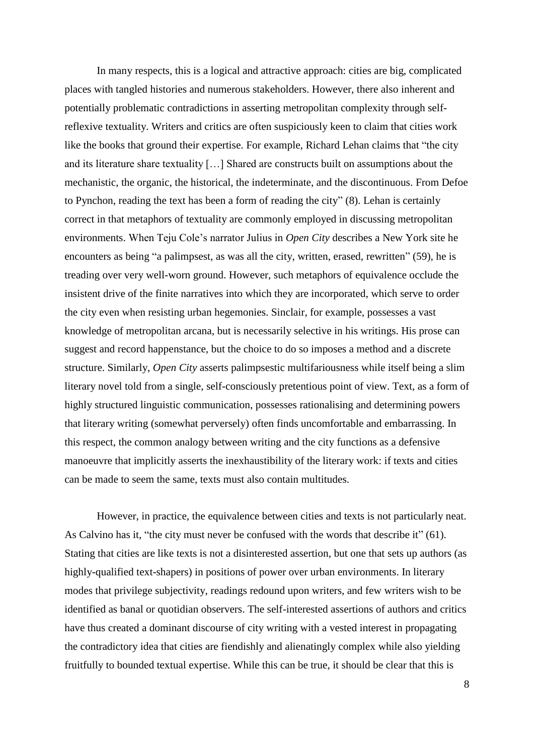In many respects, this is a logical and attractive approach: cities are big, complicated places with tangled histories and numerous stakeholders. However, there also inherent and potentially problematic contradictions in asserting metropolitan complexity through selfreflexive textuality. Writers and critics are often suspiciously keen to claim that cities work like the books that ground their expertise. For example, Richard Lehan claims that "the city and its literature share textuality […] Shared are constructs built on assumptions about the mechanistic, the organic, the historical, the indeterminate, and the discontinuous. From Defoe to Pynchon, reading the text has been a form of reading the city" (8). Lehan is certainly correct in that metaphors of textuality are commonly employed in discussing metropolitan environments. When Teju Cole's narrator Julius in *Open City* describes a New York site he encounters as being "a palimpsest, as was all the city, written, erased, rewritten" (59), he is treading over very well-worn ground. However, such metaphors of equivalence occlude the insistent drive of the finite narratives into which they are incorporated, which serve to order the city even when resisting urban hegemonies. Sinclair, for example, possesses a vast knowledge of metropolitan arcana, but is necessarily selective in his writings. His prose can suggest and record happenstance, but the choice to do so imposes a method and a discrete structure. Similarly, *Open City* asserts palimpsestic multifariousness while itself being a slim literary novel told from a single, self-consciously pretentious point of view. Text, as a form of highly structured linguistic communication, possesses rationalising and determining powers that literary writing (somewhat perversely) often finds uncomfortable and embarrassing. In this respect, the common analogy between writing and the city functions as a defensive manoeuvre that implicitly asserts the inexhaustibility of the literary work: if texts and cities can be made to seem the same, texts must also contain multitudes.

However, in practice, the equivalence between cities and texts is not particularly neat. As Calvino has it, "the city must never be confused with the words that describe it" (61). Stating that cities are like texts is not a disinterested assertion, but one that sets up authors (as highly-qualified text-shapers) in positions of power over urban environments. In literary modes that privilege subjectivity, readings redound upon writers, and few writers wish to be identified as banal or quotidian observers. The self-interested assertions of authors and critics have thus created a dominant discourse of city writing with a vested interest in propagating the contradictory idea that cities are fiendishly and alienatingly complex while also yielding fruitfully to bounded textual expertise. While this can be true, it should be clear that this is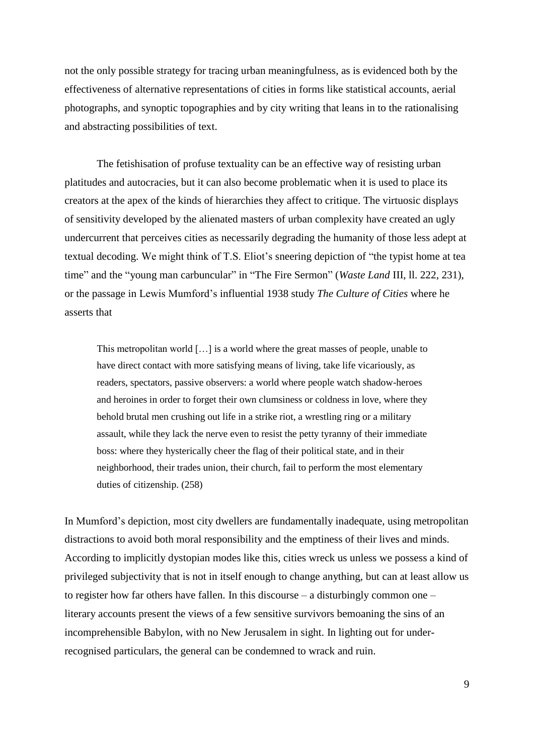not the only possible strategy for tracing urban meaningfulness, as is evidenced both by the effectiveness of alternative representations of cities in forms like statistical accounts, aerial photographs, and synoptic topographies and by city writing that leans in to the rationalising and abstracting possibilities of text.

The fetishisation of profuse textuality can be an effective way of resisting urban platitudes and autocracies, but it can also become problematic when it is used to place its creators at the apex of the kinds of hierarchies they affect to critique. The virtuosic displays of sensitivity developed by the alienated masters of urban complexity have created an ugly undercurrent that perceives cities as necessarily degrading the humanity of those less adept at textual decoding. We might think of T.S. Eliot's sneering depiction of "the typist home at tea time" and the "young man carbuncular" in "The Fire Sermon" (*Waste Land* III, ll. 222, 231), or the passage in Lewis Mumford's influential 1938 study *The Culture of Cities* where he asserts that

This metropolitan world […] is a world where the great masses of people, unable to have direct contact with more satisfying means of living, take life vicariously, as readers, spectators, passive observers: a world where people watch shadow-heroes and heroines in order to forget their own clumsiness or coldness in love, where they behold brutal men crushing out life in a strike riot, a wrestling ring or a military assault, while they lack the nerve even to resist the petty tyranny of their immediate boss: where they hysterically cheer the flag of their political state, and in their neighborhood, their trades union, their church, fail to perform the most elementary duties of citizenship. (258)

In Mumford's depiction, most city dwellers are fundamentally inadequate, using metropolitan distractions to avoid both moral responsibility and the emptiness of their lives and minds. According to implicitly dystopian modes like this, cities wreck us unless we possess a kind of privileged subjectivity that is not in itself enough to change anything, but can at least allow us to register how far others have fallen. In this discourse – a disturbingly common one – literary accounts present the views of a few sensitive survivors bemoaning the sins of an incomprehensible Babylon, with no New Jerusalem in sight. In lighting out for underrecognised particulars, the general can be condemned to wrack and ruin.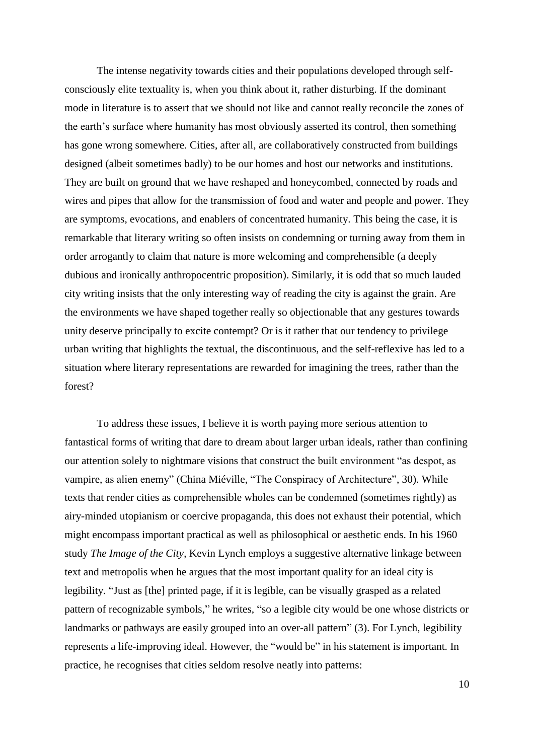The intense negativity towards cities and their populations developed through selfconsciously elite textuality is, when you think about it, rather disturbing. If the dominant mode in literature is to assert that we should not like and cannot really reconcile the zones of the earth's surface where humanity has most obviously asserted its control, then something has gone wrong somewhere. Cities, after all, are collaboratively constructed from buildings designed (albeit sometimes badly) to be our homes and host our networks and institutions. They are built on ground that we have reshaped and honeycombed, connected by roads and wires and pipes that allow for the transmission of food and water and people and power. They are symptoms, evocations, and enablers of concentrated humanity. This being the case, it is remarkable that literary writing so often insists on condemning or turning away from them in order arrogantly to claim that nature is more welcoming and comprehensible (a deeply dubious and ironically anthropocentric proposition). Similarly, it is odd that so much lauded city writing insists that the only interesting way of reading the city is against the grain. Are the environments we have shaped together really so objectionable that any gestures towards unity deserve principally to excite contempt? Or is it rather that our tendency to privilege urban writing that highlights the textual, the discontinuous, and the self-reflexive has led to a situation where literary representations are rewarded for imagining the trees, rather than the forest?

To address these issues, I believe it is worth paying more serious attention to fantastical forms of writing that dare to dream about larger urban ideals, rather than confining our attention solely to nightmare visions that construct the built environment "as despot, as vampire, as alien enemy" (China Miéville, "The Conspiracy of Architecture", 30). While texts that render cities as comprehensible wholes can be condemned (sometimes rightly) as airy-minded utopianism or coercive propaganda, this does not exhaust their potential, which might encompass important practical as well as philosophical or aesthetic ends. In his 1960 study *The Image of the City*, Kevin Lynch employs a suggestive alternative linkage between text and metropolis when he argues that the most important quality for an ideal city is legibility. "Just as [the] printed page, if it is legible, can be visually grasped as a related pattern of recognizable symbols," he writes, "so a legible city would be one whose districts or landmarks or pathways are easily grouped into an over-all pattern" (3). For Lynch, legibility represents a life-improving ideal. However, the "would be" in his statement is important. In practice, he recognises that cities seldom resolve neatly into patterns: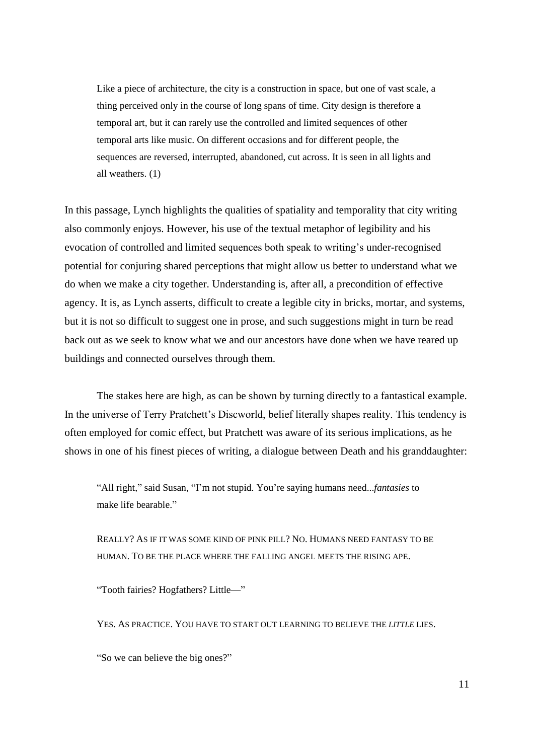Like a piece of architecture, the city is a construction in space, but one of vast scale, a thing perceived only in the course of long spans of time. City design is therefore a temporal art, but it can rarely use the controlled and limited sequences of other temporal arts like music. On different occasions and for different people, the sequences are reversed, interrupted, abandoned, cut across. It is seen in all lights and all weathers. (1)

In this passage, Lynch highlights the qualities of spatiality and temporality that city writing also commonly enjoys. However, his use of the textual metaphor of legibility and his evocation of controlled and limited sequences both speak to writing's under-recognised potential for conjuring shared perceptions that might allow us better to understand what we do when we make a city together. Understanding is, after all, a precondition of effective agency. It is, as Lynch asserts, difficult to create a legible city in bricks, mortar, and systems, but it is not so difficult to suggest one in prose, and such suggestions might in turn be read back out as we seek to know what we and our ancestors have done when we have reared up buildings and connected ourselves through them.

The stakes here are high, as can be shown by turning directly to a fantastical example. In the universe of Terry Pratchett's Discworld, belief literally shapes reality. This tendency is often employed for comic effect, but Pratchett was aware of its serious implications, as he shows in one of his finest pieces of writing, a dialogue between Death and his granddaughter:

"All right," said Susan, "I'm not stupid. You're saying humans need...*fantasies* to make life bearable."

REALLY? AS IF IT WAS SOME KIND OF PINK PILL? NO. HUMANS NEED FANTASY TO BE HUMAN. TO BE THE PLACE WHERE THE FALLING ANGEL MEETS THE RISING APE.

"Tooth fairies? Hogfathers? Little—"

YES. AS PRACTICE. YOU HAVE TO START OUT LEARNING TO BELIEVE THE *LITTLE* LIES.

"So we can believe the big ones?"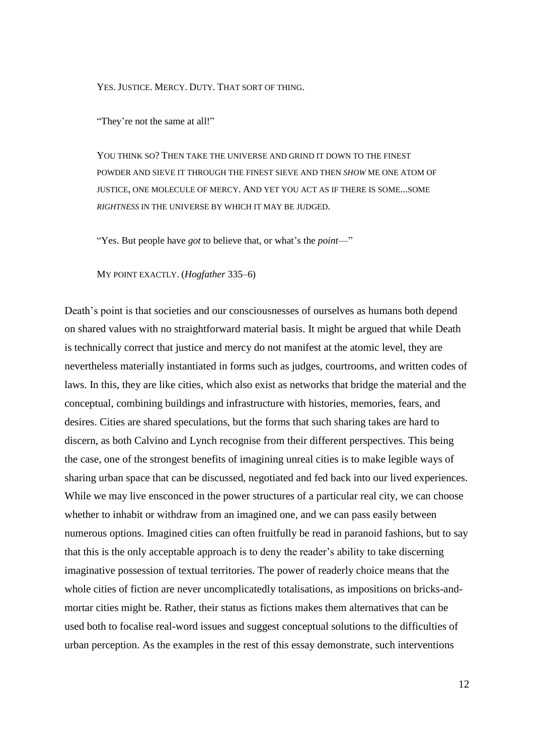YES. JUSTICE. MERCY. DUTY. THAT SORT OF THING.

"They're not the same at all!"

YOU THINK SO? THEN TAKE THE UNIVERSE AND GRIND IT DOWN TO THE FINEST POWDER AND SIEVE IT THROUGH THE FINEST SIEVE AND THEN *SHOW* ME ONE ATOM OF JUSTICE, ONE MOLECULE OF MERCY. AND YET YOU ACT AS IF THERE IS SOME...SOME *RIGHTNESS* IN THE UNIVERSE BY WHICH IT MAY BE JUDGED.

"Yes. But people have *got* to believe that, or what's the *point*—"

MY POINT EXACTLY. (*Hogfather* 335–6)

Death's point is that societies and our consciousnesses of ourselves as humans both depend on shared values with no straightforward material basis. It might be argued that while Death is technically correct that justice and mercy do not manifest at the atomic level, they are nevertheless materially instantiated in forms such as judges, courtrooms, and written codes of laws. In this, they are like cities, which also exist as networks that bridge the material and the conceptual, combining buildings and infrastructure with histories, memories, fears, and desires. Cities are shared speculations, but the forms that such sharing takes are hard to discern, as both Calvino and Lynch recognise from their different perspectives. This being the case, one of the strongest benefits of imagining unreal cities is to make legible ways of sharing urban space that can be discussed, negotiated and fed back into our lived experiences. While we may live ensconced in the power structures of a particular real city, we can choose whether to inhabit or withdraw from an imagined one, and we can pass easily between numerous options. Imagined cities can often fruitfully be read in paranoid fashions, but to say that this is the only acceptable approach is to deny the reader's ability to take discerning imaginative possession of textual territories. The power of readerly choice means that the whole cities of fiction are never uncomplicatedly totalisations, as impositions on bricks-andmortar cities might be. Rather, their status as fictions makes them alternatives that can be used both to focalise real-word issues and suggest conceptual solutions to the difficulties of urban perception. As the examples in the rest of this essay demonstrate, such interventions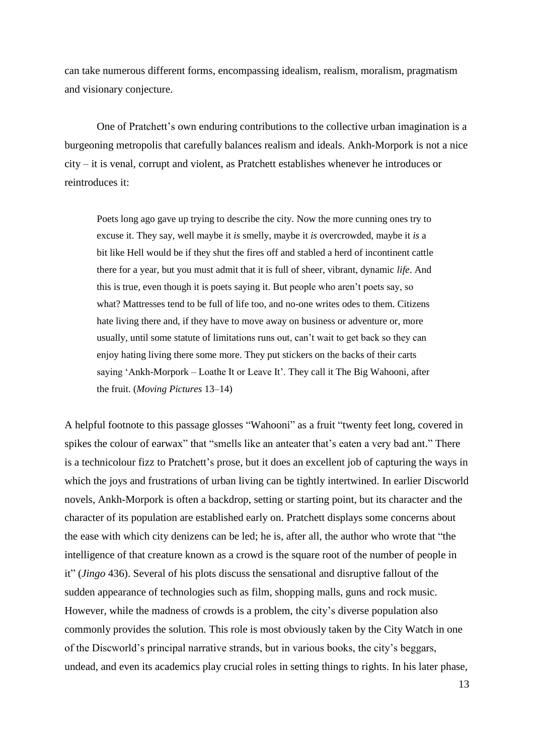can take numerous different forms, encompassing idealism, realism, moralism, pragmatism and visionary conjecture.

One of Pratchett's own enduring contributions to the collective urban imagination is a burgeoning metropolis that carefully balances realism and ideals. Ankh-Morpork is not a nice city – it is venal, corrupt and violent, as Pratchett establishes whenever he introduces or reintroduces it:

Poets long ago gave up trying to describe the city. Now the more cunning ones try to excuse it. They say, well maybe it *is* smelly, maybe it *is* overcrowded, maybe it *is* a bit like Hell would be if they shut the fires off and stabled a herd of incontinent cattle there for a year, but you must admit that it is full of sheer, vibrant, dynamic *life*. And this is true, even though it is poets saying it. But people who aren't poets say, so what? Mattresses tend to be full of life too, and no-one writes odes to them. Citizens hate living there and, if they have to move away on business or adventure or, more usually, until some statute of limitations runs out, can't wait to get back so they can enjoy hating living there some more. They put stickers on the backs of their carts saying 'Ankh-Morpork – Loathe It or Leave It'. They call it The Big Wahooni, after the fruit. (*Moving Pictures* 13–14)

A helpful footnote to this passage glosses "Wahooni" as a fruit "twenty feet long, covered in spikes the colour of earwax" that "smells like an anteater that's eaten a very bad ant." There is a technicolour fizz to Pratchett's prose, but it does an excellent job of capturing the ways in which the joys and frustrations of urban living can be tightly intertwined. In earlier Discworld novels, Ankh-Morpork is often a backdrop, setting or starting point, but its character and the character of its population are established early on. Pratchett displays some concerns about the ease with which city denizens can be led; he is, after all, the author who wrote that "the intelligence of that creature known as a crowd is the square root of the number of people in it" (*Jingo* 436). Several of his plots discuss the sensational and disruptive fallout of the sudden appearance of technologies such as film, shopping malls, guns and rock music. However, while the madness of crowds is a problem, the city's diverse population also commonly provides the solution. This role is most obviously taken by the City Watch in one of the Discworld's principal narrative strands, but in various books, the city's beggars, undead, and even its academics play crucial roles in setting things to rights. In his later phase,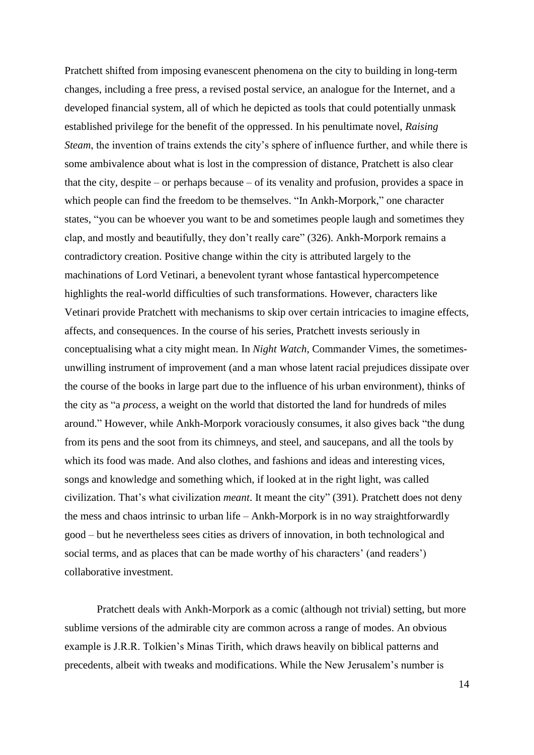Pratchett shifted from imposing evanescent phenomena on the city to building in long-term changes, including a free press, a revised postal service, an analogue for the Internet, and a developed financial system, all of which he depicted as tools that could potentially unmask established privilege for the benefit of the oppressed. In his penultimate novel, *Raising Steam*, the invention of trains extends the city's sphere of influence further, and while there is some ambivalence about what is lost in the compression of distance, Pratchett is also clear that the city, despite – or perhaps because – of its venality and profusion, provides a space in which people can find the freedom to be themselves. "In Ankh-Morpork," one character states, "you can be whoever you want to be and sometimes people laugh and sometimes they clap, and mostly and beautifully, they don't really care" (326). Ankh-Morpork remains a contradictory creation. Positive change within the city is attributed largely to the machinations of Lord Vetinari, a benevolent tyrant whose fantastical hypercompetence highlights the real-world difficulties of such transformations. However, characters like Vetinari provide Pratchett with mechanisms to skip over certain intricacies to imagine effects, affects, and consequences. In the course of his series, Pratchett invests seriously in conceptualising what a city might mean. In *Night Watch*, Commander Vimes, the sometimesunwilling instrument of improvement (and a man whose latent racial prejudices dissipate over the course of the books in large part due to the influence of his urban environment), thinks of the city as "a *process*, a weight on the world that distorted the land for hundreds of miles around." However, while Ankh-Morpork voraciously consumes, it also gives back "the dung from its pens and the soot from its chimneys, and steel, and saucepans, and all the tools by which its food was made. And also clothes, and fashions and ideas and interesting vices, songs and knowledge and something which, if looked at in the right light, was called civilization. That's what civilization *meant*. It meant the city" (391). Pratchett does not deny the mess and chaos intrinsic to urban life – Ankh-Morpork is in no way straightforwardly good – but he nevertheless sees cities as drivers of innovation, in both technological and social terms, and as places that can be made worthy of his characters' (and readers') collaborative investment.

Pratchett deals with Ankh-Morpork as a comic (although not trivial) setting, but more sublime versions of the admirable city are common across a range of modes. An obvious example is J.R.R. Tolkien's Minas Tirith, which draws heavily on biblical patterns and precedents, albeit with tweaks and modifications. While the New Jerusalem's number is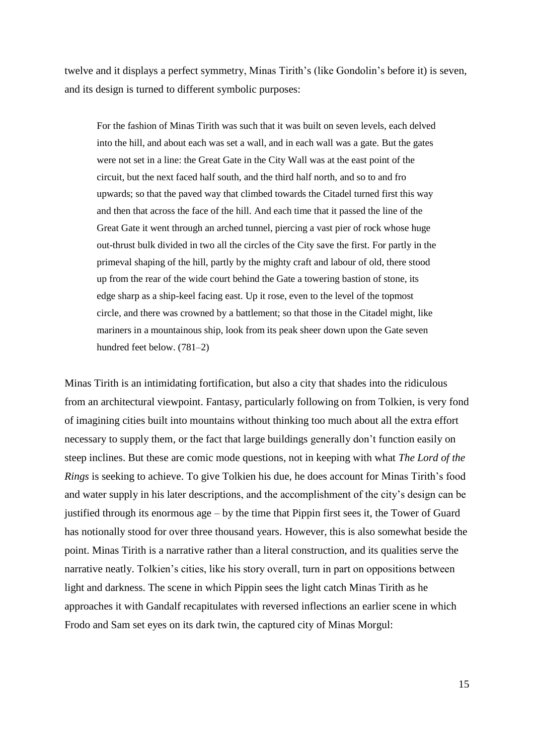twelve and it displays a perfect symmetry, Minas Tirith's (like Gondolin's before it) is seven, and its design is turned to different symbolic purposes:

For the fashion of Minas Tirith was such that it was built on seven levels, each delved into the hill, and about each was set a wall, and in each wall was a gate. But the gates were not set in a line: the Great Gate in the City Wall was at the east point of the circuit, but the next faced half south, and the third half north, and so to and fro upwards; so that the paved way that climbed towards the Citadel turned first this way and then that across the face of the hill. And each time that it passed the line of the Great Gate it went through an arched tunnel, piercing a vast pier of rock whose huge out-thrust bulk divided in two all the circles of the City save the first. For partly in the primeval shaping of the hill, partly by the mighty craft and labour of old, there stood up from the rear of the wide court behind the Gate a towering bastion of stone, its edge sharp as a ship-keel facing east. Up it rose, even to the level of the topmost circle, and there was crowned by a battlement; so that those in the Citadel might, like mariners in a mountainous ship, look from its peak sheer down upon the Gate seven hundred feet below. (781–2)

Minas Tirith is an intimidating fortification, but also a city that shades into the ridiculous from an architectural viewpoint. Fantasy, particularly following on from Tolkien, is very fond of imagining cities built into mountains without thinking too much about all the extra effort necessary to supply them, or the fact that large buildings generally don't function easily on steep inclines. But these are comic mode questions, not in keeping with what *The Lord of the Rings* is seeking to achieve. To give Tolkien his due, he does account for Minas Tirith's food and water supply in his later descriptions, and the accomplishment of the city's design can be justified through its enormous age – by the time that Pippin first sees it, the Tower of Guard has notionally stood for over three thousand years. However, this is also somewhat beside the point. Minas Tirith is a narrative rather than a literal construction, and its qualities serve the narrative neatly. Tolkien's cities, like his story overall, turn in part on oppositions between light and darkness. The scene in which Pippin sees the light catch Minas Tirith as he approaches it with Gandalf recapitulates with reversed inflections an earlier scene in which Frodo and Sam set eyes on its dark twin, the captured city of Minas Morgul: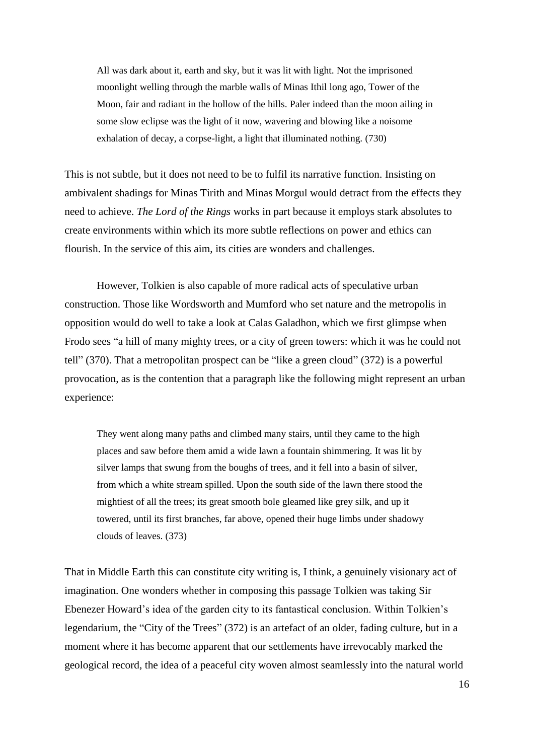All was dark about it, earth and sky, but it was lit with light. Not the imprisoned moonlight welling through the marble walls of Minas Ithil long ago, Tower of the Moon, fair and radiant in the hollow of the hills. Paler indeed than the moon ailing in some slow eclipse was the light of it now, wavering and blowing like a noisome exhalation of decay, a corpse-light, a light that illuminated nothing. (730)

This is not subtle, but it does not need to be to fulfil its narrative function. Insisting on ambivalent shadings for Minas Tirith and Minas Morgul would detract from the effects they need to achieve. *The Lord of the Rings* works in part because it employs stark absolutes to create environments within which its more subtle reflections on power and ethics can flourish. In the service of this aim, its cities are wonders and challenges.

However, Tolkien is also capable of more radical acts of speculative urban construction. Those like Wordsworth and Mumford who set nature and the metropolis in opposition would do well to take a look at Calas Galadhon, which we first glimpse when Frodo sees "a hill of many mighty trees, or a city of green towers: which it was he could not tell" (370). That a metropolitan prospect can be "like a green cloud" (372) is a powerful provocation, as is the contention that a paragraph like the following might represent an urban experience:

They went along many paths and climbed many stairs, until they came to the high places and saw before them amid a wide lawn a fountain shimmering. It was lit by silver lamps that swung from the boughs of trees, and it fell into a basin of silver, from which a white stream spilled. Upon the south side of the lawn there stood the mightiest of all the trees; its great smooth bole gleamed like grey silk, and up it towered, until its first branches, far above, opened their huge limbs under shadowy clouds of leaves. (373)

That in Middle Earth this can constitute city writing is, I think, a genuinely visionary act of imagination. One wonders whether in composing this passage Tolkien was taking Sir Ebenezer Howard's idea of the garden city to its fantastical conclusion. Within Tolkien's legendarium, the "City of the Trees" (372) is an artefact of an older, fading culture, but in a moment where it has become apparent that our settlements have irrevocably marked the geological record, the idea of a peaceful city woven almost seamlessly into the natural world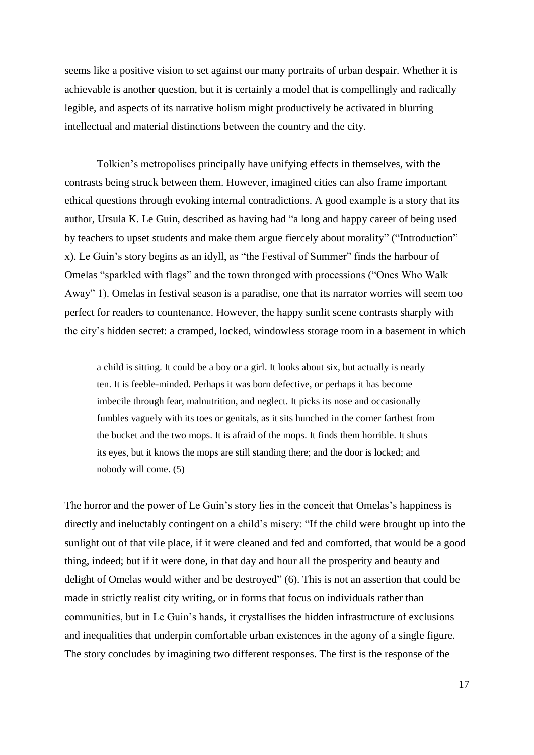seems like a positive vision to set against our many portraits of urban despair. Whether it is achievable is another question, but it is certainly a model that is compellingly and radically legible, and aspects of its narrative holism might productively be activated in blurring intellectual and material distinctions between the country and the city.

Tolkien's metropolises principally have unifying effects in themselves, with the contrasts being struck between them. However, imagined cities can also frame important ethical questions through evoking internal contradictions. A good example is a story that its author, Ursula K. Le Guin, described as having had "a long and happy career of being used by teachers to upset students and make them argue fiercely about morality" ("Introduction" x). Le Guin's story begins as an idyll, as "the Festival of Summer" finds the harbour of Omelas "sparkled with flags" and the town thronged with processions ("Ones Who Walk Away" 1). Omelas in festival season is a paradise, one that its narrator worries will seem too perfect for readers to countenance. However, the happy sunlit scene contrasts sharply with the city's hidden secret: a cramped, locked, windowless storage room in a basement in which

a child is sitting. It could be a boy or a girl. It looks about six, but actually is nearly ten. It is feeble-minded. Perhaps it was born defective, or perhaps it has become imbecile through fear, malnutrition, and neglect. It picks its nose and occasionally fumbles vaguely with its toes or genitals, as it sits hunched in the corner farthest from the bucket and the two mops. It is afraid of the mops. It finds them horrible. It shuts its eyes, but it knows the mops are still standing there; and the door is locked; and nobody will come. (5)

The horror and the power of Le Guin's story lies in the conceit that Omelas's happiness is directly and ineluctably contingent on a child's misery: "If the child were brought up into the sunlight out of that vile place, if it were cleaned and fed and comforted, that would be a good thing, indeed; but if it were done, in that day and hour all the prosperity and beauty and delight of Omelas would wither and be destroyed" (6). This is not an assertion that could be made in strictly realist city writing, or in forms that focus on individuals rather than communities, but in Le Guin's hands, it crystallises the hidden infrastructure of exclusions and inequalities that underpin comfortable urban existences in the agony of a single figure. The story concludes by imagining two different responses. The first is the response of the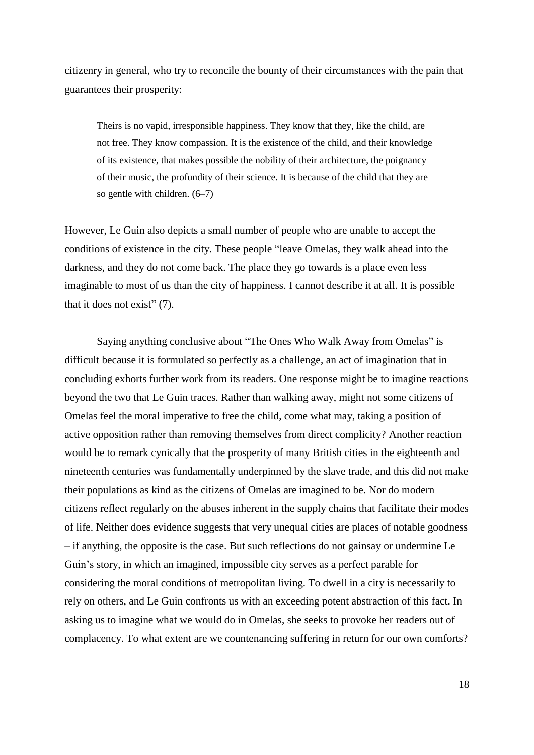citizenry in general, who try to reconcile the bounty of their circumstances with the pain that guarantees their prosperity:

Theirs is no vapid, irresponsible happiness. They know that they, like the child, are not free. They know compassion. It is the existence of the child, and their knowledge of its existence, that makes possible the nobility of their architecture, the poignancy of their music, the profundity of their science. It is because of the child that they are so gentle with children. (6–7)

However, Le Guin also depicts a small number of people who are unable to accept the conditions of existence in the city. These people "leave Omelas, they walk ahead into the darkness, and they do not come back. The place they go towards is a place even less imaginable to most of us than the city of happiness. I cannot describe it at all. It is possible that it does not exist" (7).

Saying anything conclusive about "The Ones Who Walk Away from Omelas" is difficult because it is formulated so perfectly as a challenge, an act of imagination that in concluding exhorts further work from its readers. One response might be to imagine reactions beyond the two that Le Guin traces. Rather than walking away, might not some citizens of Omelas feel the moral imperative to free the child, come what may, taking a position of active opposition rather than removing themselves from direct complicity? Another reaction would be to remark cynically that the prosperity of many British cities in the eighteenth and nineteenth centuries was fundamentally underpinned by the slave trade, and this did not make their populations as kind as the citizens of Omelas are imagined to be. Nor do modern citizens reflect regularly on the abuses inherent in the supply chains that facilitate their modes of life. Neither does evidence suggests that very unequal cities are places of notable goodness – if anything, the opposite is the case. But such reflections do not gainsay or undermine Le Guin's story, in which an imagined, impossible city serves as a perfect parable for considering the moral conditions of metropolitan living. To dwell in a city is necessarily to rely on others, and Le Guin confronts us with an exceeding potent abstraction of this fact. In asking us to imagine what we would do in Omelas, she seeks to provoke her readers out of complacency. To what extent are we countenancing suffering in return for our own comforts?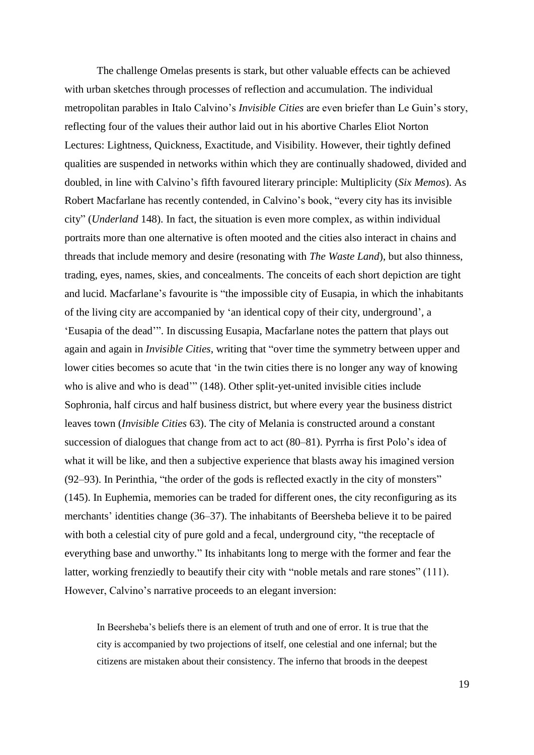The challenge Omelas presents is stark, but other valuable effects can be achieved with urban sketches through processes of reflection and accumulation. The individual metropolitan parables in Italo Calvino's *Invisible Cities* are even briefer than Le Guin's story, reflecting four of the values their author laid out in his abortive Charles Eliot Norton Lectures: Lightness, Quickness, Exactitude, and Visibility. However, their tightly defined qualities are suspended in networks within which they are continually shadowed, divided and doubled, in line with Calvino's fifth favoured literary principle: Multiplicity (*Six Memos*). As Robert Macfarlane has recently contended, in Calvino's book, "every city has its invisible city" (*Underland* 148). In fact, the situation is even more complex, as within individual portraits more than one alternative is often mooted and the cities also interact in chains and threads that include memory and desire (resonating with *The Waste Land*), but also thinness, trading, eyes, names, skies, and concealments. The conceits of each short depiction are tight and lucid. Macfarlane's favourite is "the impossible city of Eusapia, in which the inhabitants of the living city are accompanied by 'an identical copy of their city, underground', a 'Eusapia of the dead'". In discussing Eusapia, Macfarlane notes the pattern that plays out again and again in *Invisible Cities*, writing that "over time the symmetry between upper and lower cities becomes so acute that 'in the twin cities there is no longer any way of knowing who is alive and who is dead" (148). Other split-yet-united invisible cities include Sophronia, half circus and half business district, but where every year the business district leaves town (*Invisible Cities* 63). The city of Melania is constructed around a constant succession of dialogues that change from act to act (80–81). Pyrrha is first Polo's idea of what it will be like, and then a subjective experience that blasts away his imagined version (92–93). In Perinthia, "the order of the gods is reflected exactly in the city of monsters" (145). In Euphemia, memories can be traded for different ones, the city reconfiguring as its merchants' identities change (36–37). The inhabitants of Beersheba believe it to be paired with both a celestial city of pure gold and a fecal, underground city, "the receptacle of everything base and unworthy." Its inhabitants long to merge with the former and fear the latter, working frenziedly to beautify their city with "noble metals and rare stones" (111). However, Calvino's narrative proceeds to an elegant inversion:

In Beersheba's beliefs there is an element of truth and one of error. It is true that the city is accompanied by two projections of itself, one celestial and one infernal; but the citizens are mistaken about their consistency. The inferno that broods in the deepest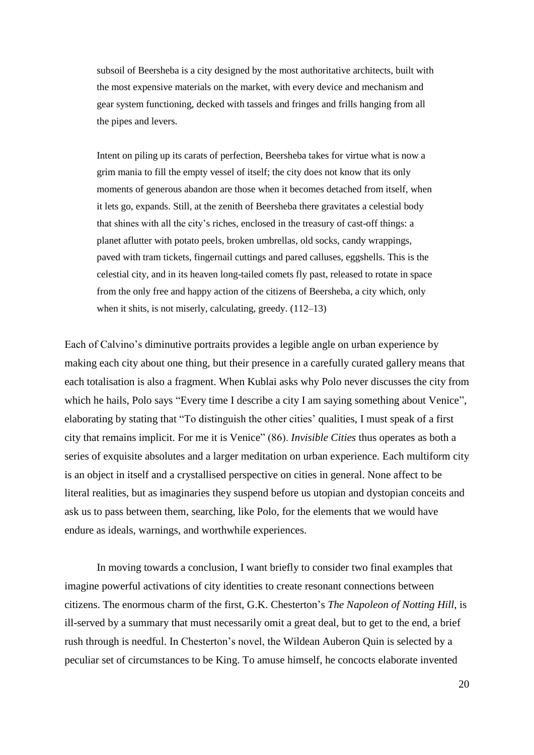subsoil of Beersheba is a city designed by the most authoritative architects, built with the most expensive materials on the market, with every device and mechanism and gear system functioning, decked with tassels and fringes and frills hanging from all the pipes and levers.

Intent on piling up its carats of perfection, Beersheba takes for virtue what is now a grim mania to fill the empty vessel of itself; the city does not know that its only moments of generous abandon are those when it becomes detached from itself, when it lets go, expands. Still, at the zenith of Beersheba there gravitates a celestial body that shines with all the city's riches, enclosed in the treasury of cast-off things: a planet aflutter with potato peels, broken umbrellas, old socks, candy wrappings, paved with tram tickets, fingernail cuttings and pared calluses, eggshells. This is the celestial city, and in its heaven long-tailed comets fly past, released to rotate in space from the only free and happy action of the citizens of Beersheba, a city which, only when it shits, is not miserly, calculating, greedy.  $(112-13)$ 

Each of Calvino's diminutive portraits provides a legible angle on urban experience by making each city about one thing, but their presence in a carefully curated gallery means that each totalisation is also a fragment. When Kublai asks why Polo never discusses the city from which he hails, Polo says "Every time I describe a city I am saying something about Venice", elaborating by stating that "To distinguish the other cities' qualities, I must speak of a first city that remains implicit. For me it is Venice" (86). *Invisible Cities* thus operates as both a series of exquisite absolutes and a larger meditation on urban experience. Each multiform city is an object in itself and a crystallised perspective on cities in general. None affect to be literal realities, but as imaginaries they suspend before us utopian and dystopian conceits and ask us to pass between them, searching, like Polo, for the elements that we would have endure as ideals, warnings, and worthwhile experiences.

In moving towards a conclusion, I want briefly to consider two final examples that imagine powerful activations of city identities to create resonant connections between citizens. The enormous charm of the first, G.K. Chesterton's *The Napoleon of Notting Hill*, is ill-served by a summary that must necessarily omit a great deal, but to get to the end, a brief rush through is needful. In Chesterton's novel, the Wildean Auberon Quin is selected by a peculiar set of circumstances to be King. To amuse himself, he concocts elaborate invented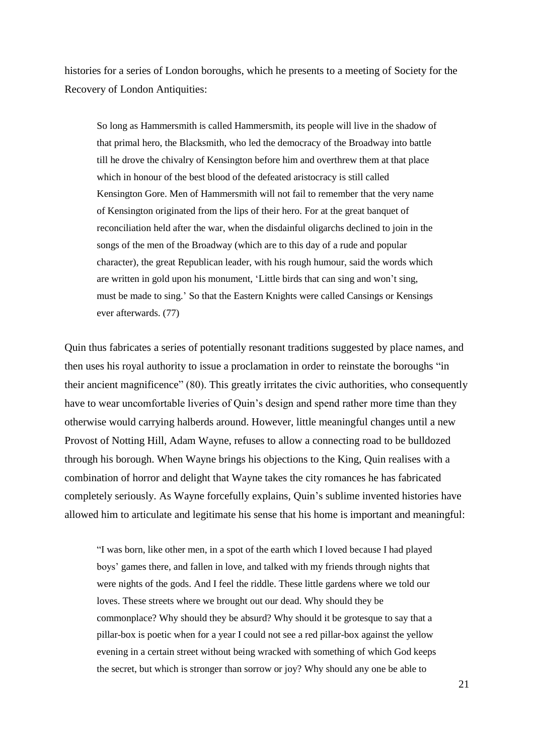histories for a series of London boroughs, which he presents to a meeting of Society for the Recovery of London Antiquities:

So long as Hammersmith is called Hammersmith, its people will live in the shadow of that primal hero, the Blacksmith, who led the democracy of the Broadway into battle till he drove the chivalry of Kensington before him and overthrew them at that place which in honour of the best blood of the defeated aristocracy is still called Kensington Gore. Men of Hammersmith will not fail to remember that the very name of Kensington originated from the lips of their hero. For at the great banquet of reconciliation held after the war, when the disdainful oligarchs declined to join in the songs of the men of the Broadway (which are to this day of a rude and popular character), the great Republican leader, with his rough humour, said the words which are written in gold upon his monument, 'Little birds that can sing and won't sing, must be made to sing.' So that the Eastern Knights were called Cansings or Kensings ever afterwards. (77)

Quin thus fabricates a series of potentially resonant traditions suggested by place names, and then uses his royal authority to issue a proclamation in order to reinstate the boroughs "in their ancient magnificence" (80). This greatly irritates the civic authorities, who consequently have to wear uncomfortable liveries of Quin's design and spend rather more time than they otherwise would carrying halberds around. However, little meaningful changes until a new Provost of Notting Hill, Adam Wayne, refuses to allow a connecting road to be bulldozed through his borough. When Wayne brings his objections to the King, Quin realises with a combination of horror and delight that Wayne takes the city romances he has fabricated completely seriously. As Wayne forcefully explains, Quin's sublime invented histories have allowed him to articulate and legitimate his sense that his home is important and meaningful:

"I was born, like other men, in a spot of the earth which I loved because I had played boys' games there, and fallen in love, and talked with my friends through nights that were nights of the gods. And I feel the riddle. These little gardens where we told our loves. These streets where we brought out our dead. Why should they be commonplace? Why should they be absurd? Why should it be grotesque to say that a pillar-box is poetic when for a year I could not see a red pillar-box against the yellow evening in a certain street without being wracked with something of which God keeps the secret, but which is stronger than sorrow or joy? Why should any one be able to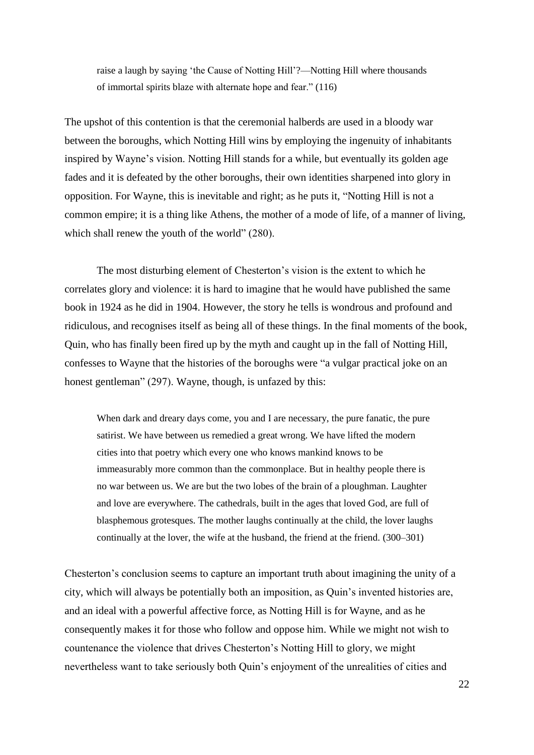raise a laugh by saying 'the Cause of Notting Hill'?—Notting Hill where thousands of immortal spirits blaze with alternate hope and fear." (116)

The upshot of this contention is that the ceremonial halberds are used in a bloody war between the boroughs, which Notting Hill wins by employing the ingenuity of inhabitants inspired by Wayne's vision. Notting Hill stands for a while, but eventually its golden age fades and it is defeated by the other boroughs, their own identities sharpened into glory in opposition. For Wayne, this is inevitable and right; as he puts it, "Notting Hill is not a common empire; it is a thing like Athens, the mother of a mode of life, of a manner of living, which shall renew the youth of the world" (280).

The most disturbing element of Chesterton's vision is the extent to which he correlates glory and violence: it is hard to imagine that he would have published the same book in 1924 as he did in 1904. However, the story he tells is wondrous and profound and ridiculous, and recognises itself as being all of these things. In the final moments of the book, Quin, who has finally been fired up by the myth and caught up in the fall of Notting Hill, confesses to Wayne that the histories of the boroughs were "a vulgar practical joke on an honest gentleman" (297). Wayne, though, is unfazed by this:

When dark and dreary days come, you and I are necessary, the pure fanatic, the pure satirist. We have between us remedied a great wrong. We have lifted the modern cities into that poetry which every one who knows mankind knows to be immeasurably more common than the commonplace. But in healthy people there is no war between us. We are but the two lobes of the brain of a ploughman. Laughter and love are everywhere. The cathedrals, built in the ages that loved God, are full of blasphemous grotesques. The mother laughs continually at the child, the lover laughs continually at the lover, the wife at the husband, the friend at the friend. (300–301)

Chesterton's conclusion seems to capture an important truth about imagining the unity of a city, which will always be potentially both an imposition, as Quin's invented histories are, and an ideal with a powerful affective force, as Notting Hill is for Wayne, and as he consequently makes it for those who follow and oppose him. While we might not wish to countenance the violence that drives Chesterton's Notting Hill to glory, we might nevertheless want to take seriously both Quin's enjoyment of the unrealities of cities and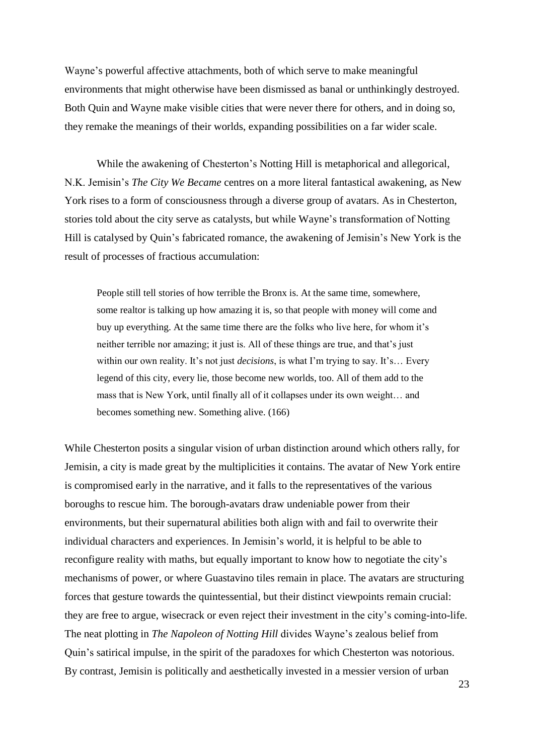Wayne's powerful affective attachments, both of which serve to make meaningful environments that might otherwise have been dismissed as banal or unthinkingly destroyed. Both Quin and Wayne make visible cities that were never there for others, and in doing so, they remake the meanings of their worlds, expanding possibilities on a far wider scale.

While the awakening of Chesterton's Notting Hill is metaphorical and allegorical, N.K. Jemisin's *The City We Became* centres on a more literal fantastical awakening, as New York rises to a form of consciousness through a diverse group of avatars. As in Chesterton, stories told about the city serve as catalysts, but while Wayne's transformation of Notting Hill is catalysed by Quin's fabricated romance, the awakening of Jemisin's New York is the result of processes of fractious accumulation:

People still tell stories of how terrible the Bronx is. At the same time, somewhere, some realtor is talking up how amazing it is, so that people with money will come and buy up everything. At the same time there are the folks who live here, for whom it's neither terrible nor amazing; it just is. All of these things are true, and that's just within our own reality. It's not just *decisions*, is what I'm trying to say. It's… Every legend of this city, every lie, those become new worlds, too. All of them add to the mass that is New York, until finally all of it collapses under its own weight… and becomes something new. Something alive. (166)

While Chesterton posits a singular vision of urban distinction around which others rally, for Jemisin, a city is made great by the multiplicities it contains. The avatar of New York entire is compromised early in the narrative, and it falls to the representatives of the various boroughs to rescue him. The borough-avatars draw undeniable power from their environments, but their supernatural abilities both align with and fail to overwrite their individual characters and experiences. In Jemisin's world, it is helpful to be able to reconfigure reality with maths, but equally important to know how to negotiate the city's mechanisms of power, or where Guastavino tiles remain in place. The avatars are structuring forces that gesture towards the quintessential, but their distinct viewpoints remain crucial: they are free to argue, wisecrack or even reject their investment in the city's coming-into-life. The neat plotting in *The Napoleon of Notting Hill* divides Wayne's zealous belief from Quin's satirical impulse, in the spirit of the paradoxes for which Chesterton was notorious. By contrast, Jemisin is politically and aesthetically invested in a messier version of urban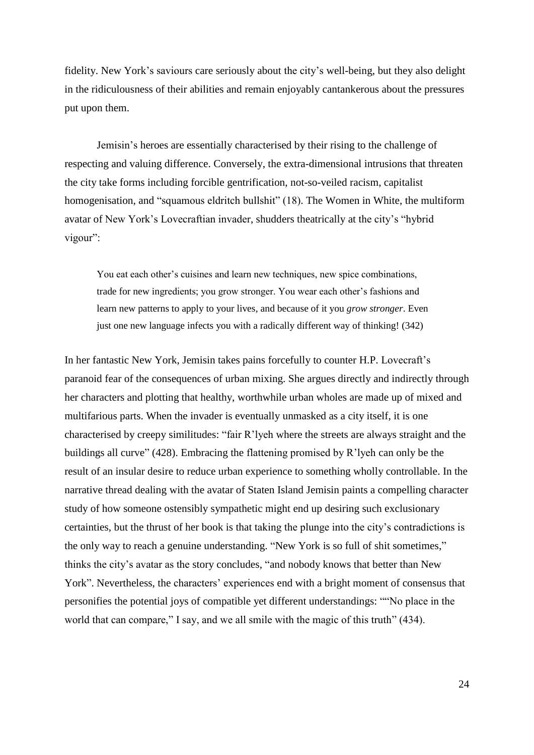fidelity. New York's saviours care seriously about the city's well-being, but they also delight in the ridiculousness of their abilities and remain enjoyably cantankerous about the pressures put upon them.

Jemisin's heroes are essentially characterised by their rising to the challenge of respecting and valuing difference. Conversely, the extra-dimensional intrusions that threaten the city take forms including forcible gentrification, not-so-veiled racism, capitalist homogenisation, and "squamous eldritch bullshit" (18). The Women in White, the multiform avatar of New York's Lovecraftian invader, shudders theatrically at the city's "hybrid vigour":

You eat each other's cuisines and learn new techniques, new spice combinations, trade for new ingredients; you grow stronger. You wear each other's fashions and learn new patterns to apply to your lives, and because of it you *grow stronger*. Even just one new language infects you with a radically different way of thinking! (342)

In her fantastic New York, Jemisin takes pains forcefully to counter H.P. Lovecraft's paranoid fear of the consequences of urban mixing. She argues directly and indirectly through her characters and plotting that healthy, worthwhile urban wholes are made up of mixed and multifarious parts. When the invader is eventually unmasked as a city itself, it is one characterised by creepy similitudes: "fair R'lyeh where the streets are always straight and the buildings all curve" (428). Embracing the flattening promised by R'lyeh can only be the result of an insular desire to reduce urban experience to something wholly controllable. In the narrative thread dealing with the avatar of Staten Island Jemisin paints a compelling character study of how someone ostensibly sympathetic might end up desiring such exclusionary certainties, but the thrust of her book is that taking the plunge into the city's contradictions is the only way to reach a genuine understanding. "New York is so full of shit sometimes," thinks the city's avatar as the story concludes, "and nobody knows that better than New York". Nevertheless, the characters' experiences end with a bright moment of consensus that personifies the potential joys of compatible yet different understandings: ""No place in the world that can compare," I say, and we all smile with the magic of this truth" (434).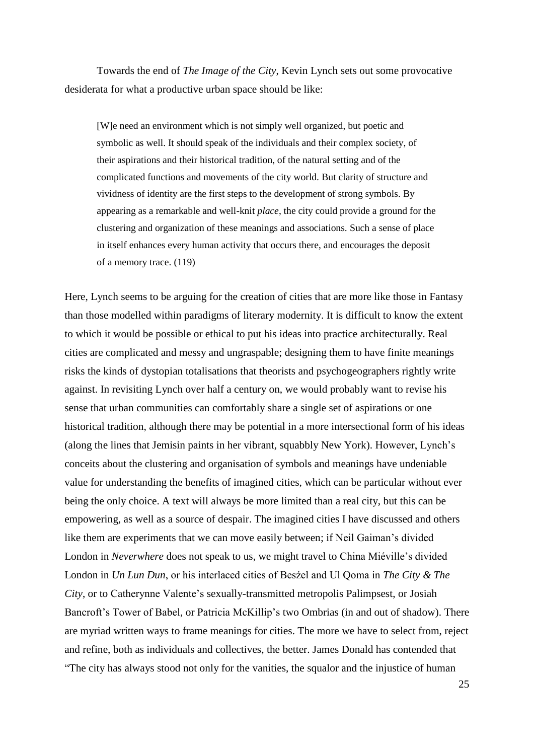Towards the end of *The Image of the City*, Kevin Lynch sets out some provocative desiderata for what a productive urban space should be like:

[W]e need an environment which is not simply well organized, but poetic and symbolic as well. It should speak of the individuals and their complex society, of their aspirations and their historical tradition, of the natural setting and of the complicated functions and movements of the city world. But clarity of structure and vividness of identity are the first steps to the development of strong symbols. By appearing as a remarkable and well-knit *place*, the city could provide a ground for the clustering and organization of these meanings and associations. Such a sense of place in itself enhances every human activity that occurs there, and encourages the deposit of a memory trace. (119)

Here, Lynch seems to be arguing for the creation of cities that are more like those in Fantasy than those modelled within paradigms of literary modernity. It is difficult to know the extent to which it would be possible or ethical to put his ideas into practice architecturally. Real cities are complicated and messy and ungraspable; designing them to have finite meanings risks the kinds of dystopian totalisations that theorists and psychogeographers rightly write against. In revisiting Lynch over half a century on, we would probably want to revise his sense that urban communities can comfortably share a single set of aspirations or one historical tradition, although there may be potential in a more intersectional form of his ideas (along the lines that Jemisin paints in her vibrant, squabbly New York). However, Lynch's conceits about the clustering and organisation of symbols and meanings have undeniable value for understanding the benefits of imagined cities, which can be particular without ever being the only choice. A text will always be more limited than a real city, but this can be empowering, as well as a source of despair. The imagined cities I have discussed and others like them are experiments that we can move easily between; if Neil Gaiman's divided London in *Neverwhere* does not speak to us, we might travel to China Miéville's divided London in *Un Lun Dun*, or his interlaced cities of Besźel and Ul Qoma in *The City & The City*, or to Catherynne Valente's sexually-transmitted metropolis Palimpsest, or Josiah Bancroft's Tower of Babel, or Patricia McKillip's two Ombrias (in and out of shadow). There are myriad written ways to frame meanings for cities. The more we have to select from, reject and refine, both as individuals and collectives, the better. James Donald has contended that "The city has always stood not only for the vanities, the squalor and the injustice of human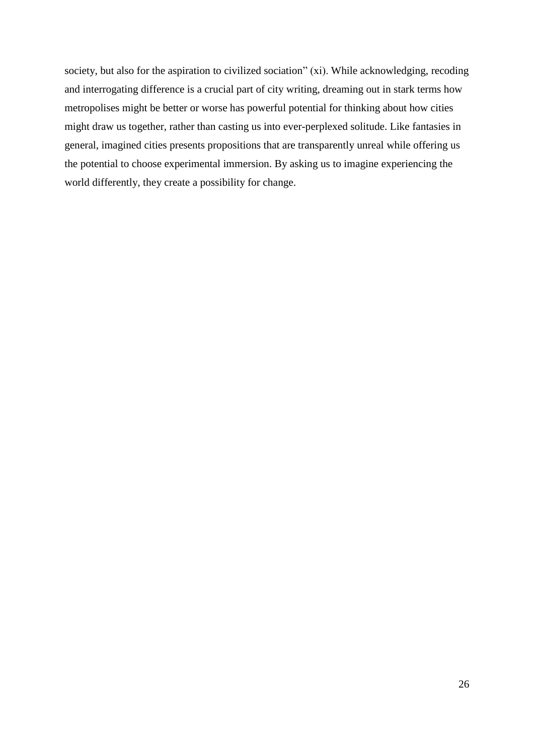society, but also for the aspiration to civilized sociation" (xi). While acknowledging, recoding and interrogating difference is a crucial part of city writing, dreaming out in stark terms how metropolises might be better or worse has powerful potential for thinking about how cities might draw us together, rather than casting us into ever-perplexed solitude. Like fantasies in general, imagined cities presents propositions that are transparently unreal while offering us the potential to choose experimental immersion. By asking us to imagine experiencing the world differently, they create a possibility for change.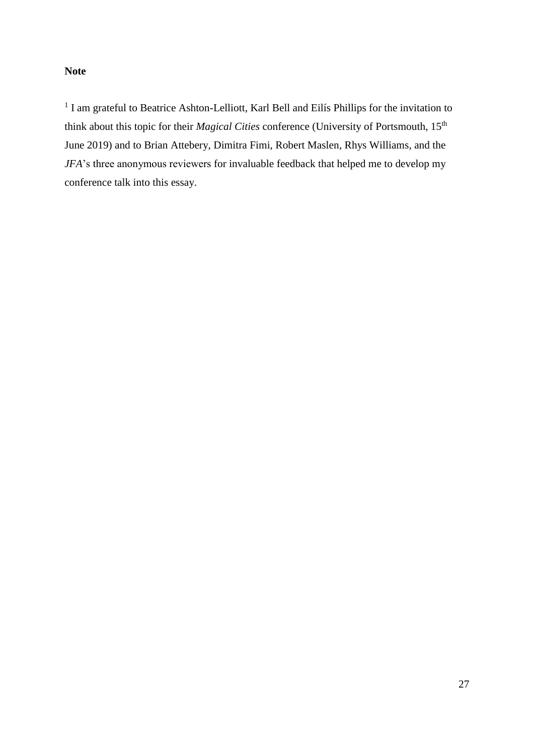# **Note**

<sup>1</sup> I am grateful to Beatrice Ashton-Lelliott, Karl Bell and Eilís Phillips for the invitation to think about this topic for their *Magical Cities* conference (University of Portsmouth, 15th June 2019) and to Brian Attebery, Dimitra Fimi, Robert Maslen, Rhys Williams, and the *JFA*'s three anonymous reviewers for invaluable feedback that helped me to develop my conference talk into this essay.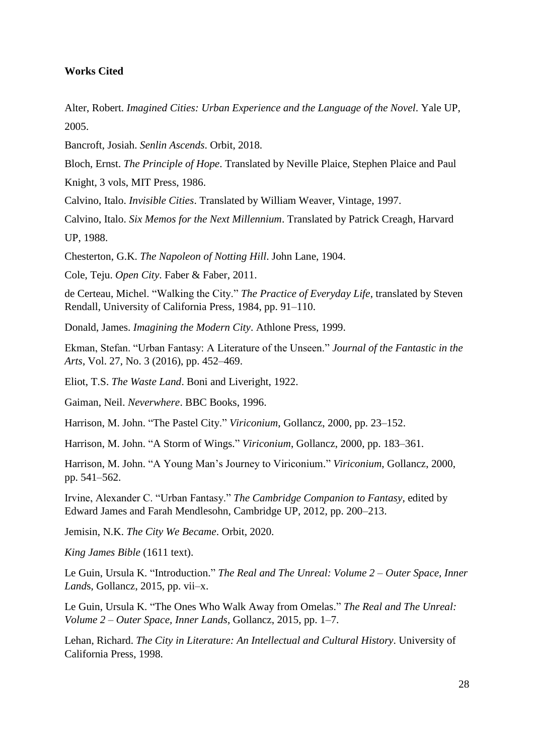## **Works Cited**

Alter, Robert. *Imagined Cities: Urban Experience and the Language of the Novel*. Yale UP, 2005.

Bancroft, Josiah. *Senlin Ascends*. Orbit, 2018.

Bloch, Ernst. *The Principle of Hope*. Translated by Neville Plaice, Stephen Plaice and Paul Knight, 3 vols, MIT Press, 1986.

Calvino, Italo. *Invisible Cities*. Translated by William Weaver, Vintage, 1997.

Calvino, Italo. *Six Memos for the Next Millennium*. Translated by Patrick Creagh, Harvard UP, 1988.

Chesterton, G.K. *The Napoleon of Notting Hill*. John Lane, 1904.

Cole, Teju. *Open City*. Faber & Faber, 2011.

de Certeau, Michel. "Walking the City." *The Practice of Everyday Life*, translated by Steven Rendall, University of California Press, 1984, pp. 91–110.

Donald, James. *Imagining the Modern City*. Athlone Press, 1999.

Ekman, Stefan. "Urban Fantasy: A Literature of the Unseen." *Journal of the Fantastic in the Arts*, Vol. 27, No. 3 (2016), pp. 452–469.

Eliot, T.S. *The Waste Land*. Boni and Liveright, 1922.

Gaiman, Neil. *Neverwhere*. BBC Books, 1996.

Harrison, M. John. "The Pastel City." *Viriconium*, Gollancz, 2000, pp. 23–152.

Harrison, M. John. "A Storm of Wings." *Viriconium*, Gollancz, 2000, pp. 183–361.

Harrison, M. John. "A Young Man's Journey to Viriconium." *Viriconium*, Gollancz, 2000, pp. 541–562.

Irvine, Alexander C. "Urban Fantasy." *The Cambridge Companion to Fantasy*, edited by Edward James and Farah Mendlesohn, Cambridge UP, 2012, pp. 200–213.

Jemisin, N.K. *The City We Became*. Orbit, 2020.

*King James Bible* (1611 text).

Le Guin, Ursula K. "Introduction." *The Real and The Unreal: Volume 2 – Outer Space, Inner Land*s, Gollancz, 2015, pp. vii–x.

Le Guin, Ursula K. "The Ones Who Walk Away from Omelas." *The Real and The Unreal: Volume 2 – Outer Space, Inner Lands*, Gollancz, 2015, pp. 1–7.

Lehan, Richard. *The City in Literature: An Intellectual and Cultural History*. University of California Press, 1998.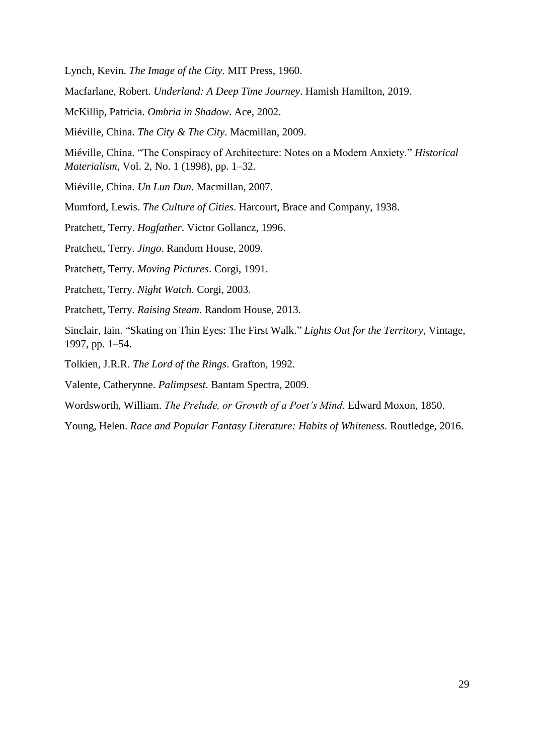Lynch, Kevin. *The Image of the City.* MIT Press, 1960.

Macfarlane, Robert. *Underland: A Deep Time Journey*. Hamish Hamilton, 2019.

McKillip, Patricia. *Ombria in Shadow*. Ace, 2002.

Miéville, China. *The City & The City*. Macmillan, 2009.

Miéville, China. "The Conspiracy of Architecture: Notes on a Modern Anxiety." *Historical Materialism*, Vol. 2, No. 1 (1998), pp. 1–32.

Miéville, China. *Un Lun Dun*. Macmillan, 2007.

Mumford, Lewis. *The Culture of Cities*. Harcourt, Brace and Company, 1938.

Pratchett, Terry. *Hogfather*. Victor Gollancz, 1996.

Pratchett, Terry. *Jingo*. Random House, 2009.

Pratchett, Terry. *Moving Pictures*. Corgi, 1991.

Pratchett, Terry. *Night Watch*. Corgi, 2003.

Pratchett, Terry. *Raising Steam*. Random House, 2013.

Sinclair, Iain. "Skating on Thin Eyes: The First Walk." *Lights Out for the Territory*, Vintage, 1997, pp. 1–54.

Tolkien, J.R.R. *The Lord of the Rings*. Grafton, 1992.

Valente, Catherynne. *Palimpsest*. Bantam Spectra, 2009.

Wordsworth, William. *The Prelude, or Growth of a Poet's Mind*. Edward Moxon, 1850.

Young, Helen. *Race and Popular Fantasy Literature: Habits of Whiteness*. Routledge, 2016.